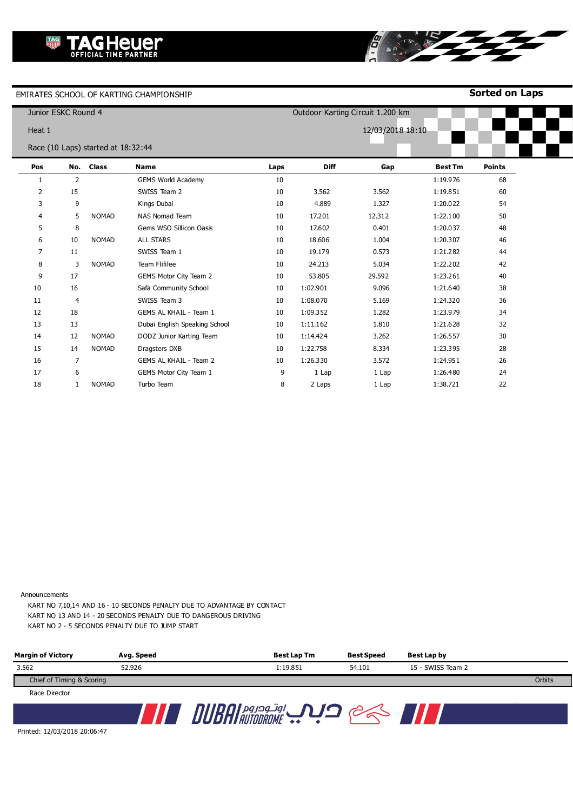**Sorted on Laps**

|                | Junior ESKC Round 4 |                                    |                               |      |             | Outdoor Karting Circuit 1.200 km |                |               |
|----------------|---------------------|------------------------------------|-------------------------------|------|-------------|----------------------------------|----------------|---------------|
| Heat 1         |                     |                                    |                               |      |             | 12/03/2018 18:10                 |                |               |
|                |                     | Race (10 Laps) started at 18:32:44 |                               |      |             |                                  |                |               |
| Pos            |                     | No. Class                          | Name                          | Laps | <b>Diff</b> | Gap                              | <b>Best Tm</b> | <b>Points</b> |
| 1              | 2                   |                                    | <b>GEMS World Academy</b>     | 10   |             |                                  | 1:19.976       | 68            |
| $\overline{2}$ | 15                  |                                    | SWISS Team 2                  | 10   | 3.562       | 3.562                            | 1:19.851       | 60            |
| 3              | 9                   |                                    | Kings Dubai                   | 10   | 4.889       | 1.327                            | 1:20.022       | 54            |
| 4              | 5                   | <b>NOMAD</b>                       | <b>NAS Nomad Team</b>         | 10   | 17.201      | 12.312                           | 1:22.100       | 50            |
| 5              | 8                   |                                    | Gems WSO Sillicon Oasis       | 10   | 17.602      | 0.401                            | 1:20.037       | 48            |
| 6              | 10                  | <b>NOMAD</b>                       | <b>ALL STARS</b>              | 10   | 18.606      | 1.004                            | 1:20.307       | 46            |
| 7              | 11                  |                                    | SWISS Team 1                  | 10   | 19.179      | 0.573                            | 1:21.282       | 44            |
| 8              | 3                   | <b>NOMAD</b>                       | Team Flifilee                 | 10   | 24.213      | 5.034                            | 1:22.202       | 42            |
| 9              | 17                  |                                    | GEMS Motor City Team 2        | 10   | 53.805      | 29.592                           | 1:23.261       | 40            |
| 10             | 16                  |                                    | Safa Community School         | 10   | 1:02.901    | 9.096                            | 1:21.640       | 38            |
| 11             | 4                   |                                    | SWISS Team 3                  | 10   | 1:08.070    | 5.169                            | 1:24.320       | 36            |
| 12             | 18                  |                                    | GEMS AL KHAIL - Team 1        | 10   | 1:09.352    | 1.282                            | 1:23.979       | 34            |
| 13             | 13                  |                                    | Dubai English Speaking School | 10   | 1:11.162    | 1.810                            | 1:21.628       | 32            |
| 14             | 12                  | <b>NOMAD</b>                       | DODZ Junior Karting Team      | 10   | 1:14.424    | 3.262                            | 1:26.557       | 30            |
| 15             | 14                  | <b>NOMAD</b>                       | Dragsters DXB                 | 10   | 1:22.758    | 8.334                            | 1:23.395       | 28            |
| 16             | 7                   |                                    | GEMS AL KHAIL - Team 2        | 10   | 1:26.330    | 3.572                            | 1:24.951       | 26            |
| 17             | 6                   |                                    | GEMS Motor City Team 1        | 9    | 1 Lap       | 1 Lap                            | 1:26.480       | 24            |
| 18             | 1                   | <b>NOMAD</b>                       | Turbo Team                    | 8    | 2 Laps      | 1 Lap                            | 1:38.721       | 22            |

8

Announcements

KART NO 7,10,14 AND 16 - 10 SECONDS PENALTY DUE TO ADVANTAGE BY CONTACT KART NO 13 AND 14 - 20 SECONDS PENALTY DUE TO DANGEROUS DRIVING KART NO 2 - 5 SECONDS PENALTY DUE TO JUMP START

| <b>Margin of Victory</b>  | Avg. Speed | Best Lap Tm | <b>Best Speed</b> | Best Lap by       |        |
|---------------------------|------------|-------------|-------------------|-------------------|--------|
| 3.562                     | 52.926     | 1:19.851    | 54.101            | 15 - SWISS Team 2 |        |
| Chief of Timing & Scoring |            |             |                   |                   | Orbits |
| Race Director             |            |             |                   |                   |        |
|                           |            | اوتودروم    |                   |                   |        |

Printed: 12/03/2018 20:06:47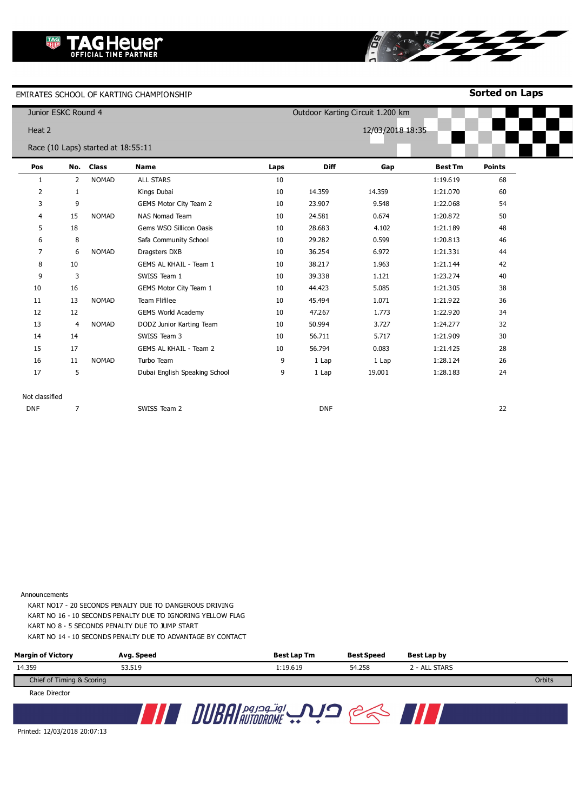**Sorted on Laps**

www.mylaps.com

|                | Junior ESKC Round 4 |                                    |                               | Outdoor Karting Circuit 1.200 km |             |                  |                |               |
|----------------|---------------------|------------------------------------|-------------------------------|----------------------------------|-------------|------------------|----------------|---------------|
| Heat 2         |                     |                                    |                               |                                  |             | 12/03/2018 18:35 |                |               |
|                |                     | Race (10 Laps) started at 18:55:11 |                               |                                  |             |                  |                |               |
| Pos            | No.                 | <b>Class</b>                       | <b>Name</b>                   | Laps                             | <b>Diff</b> | Gap              | <b>Best Tm</b> | <b>Points</b> |
| 1              | 2                   | <b>NOMAD</b>                       | <b>ALL STARS</b>              | 10                               |             |                  | 1:19.619       | 68            |
| 2              | $\mathbf{1}$        |                                    | Kings Dubai                   | 10                               | 14.359      | 14.359           | 1:21.070       | 60            |
| 3              | 9                   |                                    | GEMS Motor City Team 2        | 10                               | 23.907      | 9.548            | 1:22.068       | 54            |
| 4              | 15                  | <b>NOMAD</b>                       | <b>NAS Nomad Team</b>         | 10                               | 24.581      | 0.674            | 1:20.872       | 50            |
| 5              | 18                  |                                    | Gems WSO Sillicon Oasis       | 10                               | 28.683      | 4.102            | 1:21.189       | 48            |
| 6              | 8                   |                                    | Safa Community School         | 10                               | 29.282      | 0.599            | 1:20.813       | 46            |
| 7              | 6                   | <b>NOMAD</b>                       | Dragsters DXB                 | 10                               | 36.254      | 6.972            | 1:21.331       | 44            |
| 8              | 10                  |                                    | GEMS AL KHAIL - Team 1        | 10                               | 38.217      | 1.963            | 1:21.144       | 42            |
| 9              | 3                   |                                    | SWISS Team 1                  | 10                               | 39.338      | 1.121            | 1:23.274       | 40            |
| 10             | 16                  |                                    | GEMS Motor City Team 1        | 10                               | 44.423      | 5.085            | 1:21.305       | 38            |
| 11             | 13                  | <b>NOMAD</b>                       | Team Flifilee                 | 10                               | 45.494      | 1.071            | 1:21.922       | 36            |
| 12             | 12                  |                                    | <b>GEMS World Academy</b>     | 10                               | 47.267      | 1.773            | 1:22.920       | 34            |
| 13             | $\overline{4}$      | <b>NOMAD</b>                       | DODZ Junior Karting Team      | 10                               | 50.994      | 3.727            | 1:24.277       | 32            |
| 14             | 14                  |                                    | SWISS Team 3                  | 10                               | 56.711      | 5.717            | 1:21.909       | 30            |
| 15             | 17                  |                                    | GEMS AL KHAIL - Team 2        | 10                               | 56.794      | 0.083            | 1:21.425       | 28            |
| 16             | 11                  | <b>NOMAD</b>                       | Turbo Team                    | 9                                | 1 Lap       | 1 Lap            | 1:28.124       | 26            |
| 17             | 5                   |                                    | Dubai English Speaking School | 9                                | 1 Lap       | 19.001           | 1:28.183       | 24            |
|                |                     |                                    |                               |                                  |             |                  |                |               |
| Not classified |                     |                                    |                               |                                  |             |                  |                |               |
| <b>DNF</b>     | 7                   |                                    | SWISS Team 2                  |                                  | <b>DNF</b>  |                  |                | 22            |

8

Announcements

KART NO17 - 20 SECONDS PENALTY DUE TO DANGEROUS DRIVING KART NO 16 - 10 SECONDS PENALTY DUE TO IGNORING YELLOW FLAG KART NO 8 - 5 SECONDS PENALTY DUE TO JUMP START

KART NO 14 - 10 SECONDS PENALTY DUE TO ADVANTAGE BY CONTACT

| <b>Margin of Victory</b>  | Avg. Speed | <b>Best Lap Tm</b> | <b>Best Speed</b> | Best Lap by   |        |
|---------------------------|------------|--------------------|-------------------|---------------|--------|
| 14.359                    | 53.519     | 1:19.619           | 54.258            | 2 - ALL STARS |        |
| Chief of Timing & Scoring |            |                    |                   |               | Orbits |
| <b>Dace Director</b>      |            |                    |                   |               |        |

Race Director



Printed: 12/03/2018 20:07:13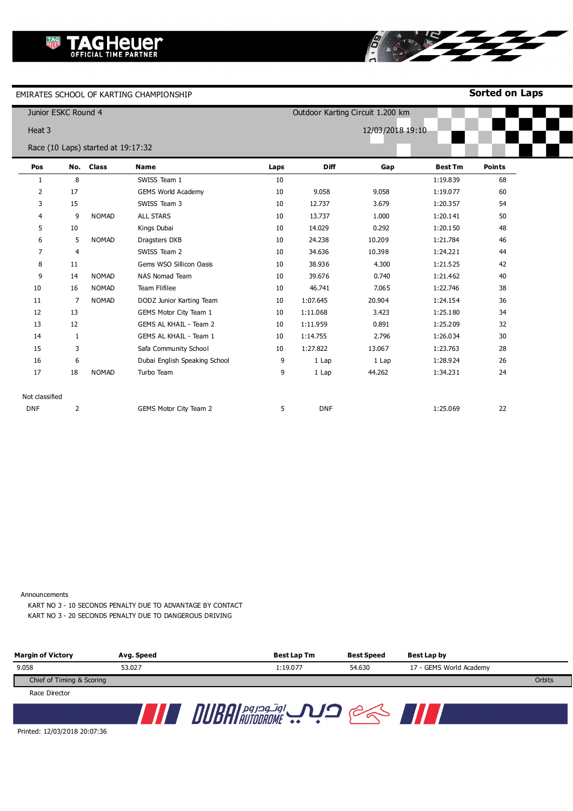**Sorted on Laps**

|                | Junior ESKC Round 4 |                                    |                               |      | Outdoor Karting Circuit 1.200 km |                  |                |               |  |
|----------------|---------------------|------------------------------------|-------------------------------|------|----------------------------------|------------------|----------------|---------------|--|
| Heat 3         |                     |                                    |                               |      |                                  | 12/03/2018 19:10 |                |               |  |
|                |                     | Race (10 Laps) started at 19:17:32 |                               |      |                                  |                  |                |               |  |
| Pos            |                     | No. Class                          | Name                          | Laps | <b>Diff</b>                      | Gap              | <b>Best Tm</b> | <b>Points</b> |  |
| 1              | 8                   |                                    | SWISS Team 1                  | 10   |                                  |                  | 1:19.839       | 68            |  |
| $\overline{2}$ | 17                  |                                    | <b>GEMS World Academy</b>     | 10   | 9.058                            | 9.058            | 1:19.077       | 60            |  |
| 3              | 15                  |                                    | SWISS Team 3                  | 10   | 12.737                           | 3.679            | 1:20.357       | 54            |  |
| 4              | 9                   | <b>NOMAD</b>                       | <b>ALL STARS</b>              | 10   | 13.737                           | 1.000            | 1:20.141       | 50            |  |
| 5              | 10                  |                                    | Kings Dubai                   | 10   | 14.029                           | 0.292            | 1:20.150       | 48            |  |
| 6              | 5                   | <b>NOMAD</b>                       | Dragsters DXB                 | 10   | 24.238                           | 10.209           | 1:21.784       | 46            |  |
| $\overline{7}$ | $\overline{4}$      |                                    | SWISS Team 2                  | 10   | 34.636                           | 10.398           | 1:24.221       | 44            |  |
| 8              | 11                  |                                    | Gems WSO Sillicon Oasis       | 10   | 38.936                           | 4.300            | 1:21.525       | 42            |  |
| 9              | 14                  | <b>NOMAD</b>                       | <b>NAS Nomad Team</b>         | 10   | 39.676                           | 0.740            | 1:21.462       | 40            |  |
| 10             | 16                  | <b>NOMAD</b>                       | Team Flifilee                 | 10   | 46.741                           | 7.065            | 1:22.746       | 38            |  |
| 11             | 7                   | <b>NOMAD</b>                       | DODZ Junior Karting Team      | 10   | 1:07.645                         | 20.904           | 1:24.154       | 36            |  |
| 12             | 13                  |                                    | GEMS Motor City Team 1        | 10   | 1:11.068                         | 3.423            | 1:25.180       | 34            |  |
| 13             | 12                  |                                    | <b>GEMS AL KHAIL - Team 2</b> | 10   | 1:11.959                         | 0.891            | 1:25.209       | 32            |  |
| 14             | $\mathbf{1}$        |                                    | GEMS AL KHAIL - Team 1        | 10   | 1:14.755                         | 2.796            | 1:26.034       | 30            |  |
| 15             | 3                   |                                    | Safa Community School         | 10   | 1:27.822                         | 13.067           | 1:23.763       | 28            |  |
| 16             | 6                   |                                    | Dubai English Speaking School | 9    | 1 Lap                            | 1 Lap            | 1:28.924       | 26            |  |
| 17             | 18                  | <b>NOMAD</b>                       | Turbo Team                    | 9    | 1 Lap                            | 44.262           | 1:34.231       | 24            |  |
| Not classified |                     |                                    |                               |      |                                  |                  |                |               |  |
| <b>DNF</b>     | 2                   |                                    | GEMS Motor City Team 2        | 5    | <b>DNF</b>                       |                  | 1:25.069       | 22            |  |

Ő

ATTEY

Announcements

KART NO 3 - 10 SECONDS PENALTY DUE TO ADVANTAGE BY CONTACT KART NO 3 - 20 SECONDS PENALTY DUE TO DANGEROUS DRIVING

| <b>Margin of Victory</b>  | Avg. Speed | Best Lap Tm                        | <b>Best Speed</b> | Best Lap by             |        |
|---------------------------|------------|------------------------------------|-------------------|-------------------------|--------|
| 9.058                     | 53.027     | 1:19.077                           | 54.630            | 17 - GEMS World Academy |        |
| Chief of Timing & Scoring |            |                                    |                   |                         | Orbits |
| Race Director             |            |                                    |                   |                         |        |
|                           |            | $\bm{\eta}$ i payoq jgl<br>rnnnnur |                   |                         |        |

Printed: 12/03/2018 20:07:36